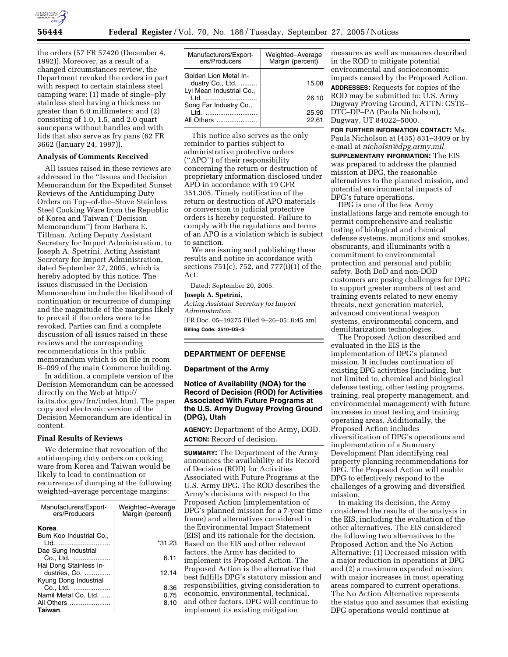

the orders (57 FR 57420 (December 4, 1992)). Moreover, as a result of a changed circumstances review, the Department revoked the orders in part with respect to certain stainless steel camping ware: (1) made of single–ply stainless steel having a thickness no greater than 6.0 millimeters; and (2) consisting of 1.0, 1.5, and 2.0 quart saucepans without handles and with lids that also serve as fry pans (62 FR 3662 (January 24, 1997)).

#### **Analysis of Comments Received**

All issues raised in these reviews are addressed in the ''Issues and Decision Memorandum for the Expedited Sunset Reviews of the Antidumping Duty Orders on Top–of-the–Stove Stainless Steel Cooking Ware from the Republic of Korea and Taiwan (''Decision Memorandum'') from Barbara E. Tillman, Acting Deputy Assistant Secretary for Import Administration, to Joseph A. Spetrini, Acting Assistant Secretary for Import Administration, dated September 27, 2005, which is hereby adopted by this notice. The issues discussed in the Decision Memorandum include the likelihood of continuation or recurrence of dumping and the magnitude of the margins likely to prevail if the orders were to be revoked. Parties can find a complete discussion of all issues raised in these reviews and the corresponding recommendations in this public memorandum which is on file in room B–099 of the main Commerce building.

In addition, a complete version of the Decision Memorandum can be accessed directly on the Web at http:// ia.ita.doc.gov/frn/index.html. The paper copy and electronic version of the Decision Memorandum are identical in content.

### **Final Results of Reviews**

We determine that revocation of the antidumping duty orders on cooking ware from Korea and Taiwan would be likely to lead to continuation or recurrence of dumping at the following weighted–average percentage margins:

| Manufacturers/Export-<br>ers/Producers  | Weighted-Average<br>Margin (percent) |
|-----------------------------------------|--------------------------------------|
| Korea.<br>Bum Koo Industrial Co         |                                      |
| Ltd.                                    | *31.23                               |
| Dae Sung Industrial<br>Co., Ltd.        | 6.11                                 |
| Hai Dong Stainless In-<br>dustries, Co. | 12.14                                |
| Kyung Dong Industrial<br>Co., Ltd.      | 8.36                                 |
| Namil Metal Co. Ltd.                    | 0.75                                 |
| All Others                              | 8.10                                 |
| Taiwan.                                 |                                      |

| Manufacturers/Export-<br>ers/Producers                                         | Weighted-Average<br>Margin (percent) |
|--------------------------------------------------------------------------------|--------------------------------------|
| Golden Lion Metal In-<br>dustry Co., Ltd.<br>Lyi Mean Industrial Co.,<br>I td. | 15.08<br>26.10                       |
| Song Far Industry Co.,<br>ht I<br>All Others                                   | 25.90<br>22.61                       |

This notice also serves as the only reminder to parties subject to administrative protective orders (''APO'') of their responsibility concerning the return or destruction of proprietary information disclosed under APO in accordance with 19 CFR 351.305. Timely notification of the return or destruction of APO materials or conversion to judicial protective orders is hereby requested. Failure to comply with the regulations and terms of an APO is a violation which is subject to sanction.

We are issuing and publishing these results and notice in accordance with sections 751(c), 752, and 777(i)(1) of the Act.

Dated: September 20, 2005.

## **Joseph A. Spetrini,**

*Acting Assistant Secretary for Import Administration.* 

[FR Doc. 05–19275 Filed 9–26–05; 8:45 am] **Billing Code: 3510–DS–S** 

## **DEPARTMENT OF DEFENSE**

#### **Department of the Army**

## **Notice of Availability (NOA) for the Record of Decision (ROD) for Activities Associated With Future Programs at the U.S. Army Dugway Proving Ground (DPG), Utah**

**AGENCY:** Department of the Army, DOD. **ACTION:** Record of decision.

**SUMMARY:** The Department of the Army announces the availability of its Record of Decision (ROD) for Activities Associated with Future Programs at the U.S. Army DPG. The ROD describes the Army's decisions with respect to the Proposed Action (implementation of DPG's planned mission for a 7-year time frame) and alternatives considered in the Environmental Impact Statement (EIS) and its rationale for the decision. Based on the EIS and other relevant factors, the Army has decided to implement its Proposed Action. The Proposed Action is the alternative that best fulfills DPG's statutory mission and responsibilities, giving consideration to economic, environmental, technical, and other factors. DPG will continue to implement its existing mitigation

measures as well as measures described in the ROD to mitigate potential environmental and socioeconomic impacts caused by the Proposed Action. **ADDRESSES:** Requests for copies of the

ROD may be submitted to: U.S. Army Dugway Proving Ground, ATTN: CSTE– DTC–DP–PA (Paula Nicholson), Dugway, UT 84022–5000.

**FOR FURTHER INFORMATION CONTACT:** Ms. Paula Nicholson at (435) 831–3409 or by e-mail at *nicholsn@dpg.army.mil.* 

**SUPPLEMENTARY INFORMATION:** The EIS was prepared to address the planned mission at DPG, the reasonable alternatives to the planned mission, and potential environmental impacts of DPG's future operations.

DPG is one of the few Army installations large and remote enough to permit comprehensive and realistic testing of biological and chemical defense systems, munitions and smokes, obscurants, and illuminants with a commitment to environmental protection and personal and public safety. Both DoD and non-DOD customers are posing challenges for DPG to support greater numbers of test and training events related to new enemy threats, next generation materiel, advanced conventional weapon systems, environmental concern, and demilitarization technologies.

The Proposed Action described and evaluated in the EIS is the implementation of DPG's planned mission. It includes continuation of existing DPG activities (including, but not limited to, chemical and biological defense testing, other testing programs, training, real property management, and environmental management) with future increases in most testing and training operating areas. Additionally, the Proposed Action includes diversification of DPG's operations and implementation of a Summary Development Plan identifying real property planning recommendations for DPG. The Proposed Action will enable DPG to effectively respond to the challenges of a growing and diversified mission.

In making its decision, the Army considered the results of the analysis in the EIS, including the evaluation of the other alternatives. The EIS considered the following two alternatives to the Proposed Action and the No Action Alternative: (1) Decreased mission with a major reduction in operations at DPG and (2) a maximum expanded mission with major increases in most operating areas compared to current operations. The No Action Alternative represents the status quo and assumes that existing DPG operations would continue at